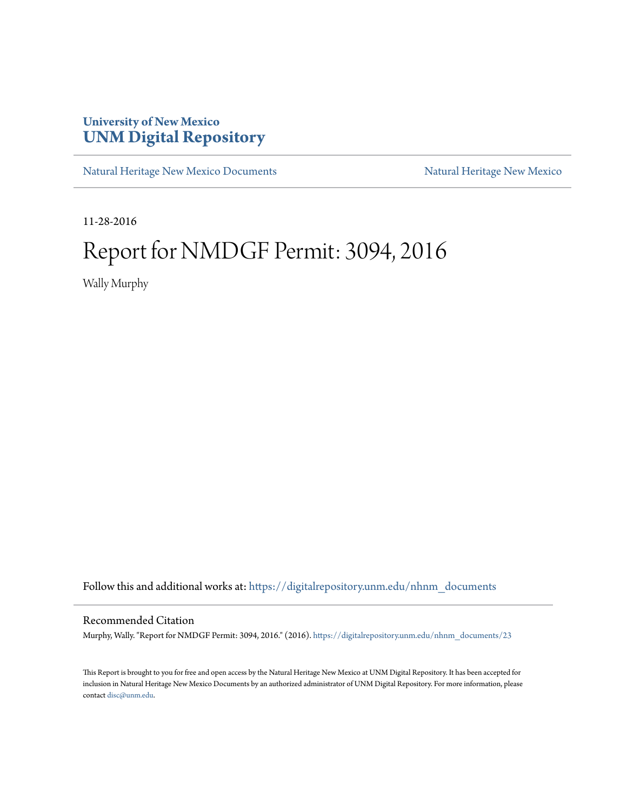## **University of New Mexico [UNM Digital Repository](https://digitalrepository.unm.edu?utm_source=digitalrepository.unm.edu%2Fnhnm_documents%2F23&utm_medium=PDF&utm_campaign=PDFCoverPages)**

[Natural Heritage New Mexico Documents](https://digitalrepository.unm.edu/nhnm_documents?utm_source=digitalrepository.unm.edu%2Fnhnm_documents%2F23&utm_medium=PDF&utm_campaign=PDFCoverPages) [Natural Heritage New Mexico](https://digitalrepository.unm.edu/nhnm?utm_source=digitalrepository.unm.edu%2Fnhnm_documents%2F23&utm_medium=PDF&utm_campaign=PDFCoverPages)

11-28-2016

## Report for NMDGF Permit: 3094, 2016

Wally Murphy

Follow this and additional works at: [https://digitalrepository.unm.edu/nhnm\\_documents](https://digitalrepository.unm.edu/nhnm_documents?utm_source=digitalrepository.unm.edu%2Fnhnm_documents%2F23&utm_medium=PDF&utm_campaign=PDFCoverPages)

## Recommended Citation

Murphy, Wally. "Report for NMDGF Permit: 3094, 2016." (2016). [https://digitalrepository.unm.edu/nhnm\\_documents/23](https://digitalrepository.unm.edu/nhnm_documents/23?utm_source=digitalrepository.unm.edu%2Fnhnm_documents%2F23&utm_medium=PDF&utm_campaign=PDFCoverPages)

This Report is brought to you for free and open access by the Natural Heritage New Mexico at UNM Digital Repository. It has been accepted for inclusion in Natural Heritage New Mexico Documents by an authorized administrator of UNM Digital Repository. For more information, please contact [disc@unm.edu.](mailto:disc@unm.edu)